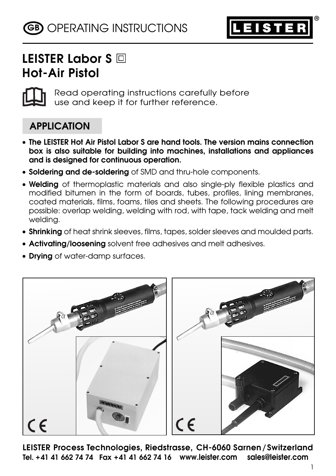

# **LEISTER Labor S Hot-Air Pistol**



Read operating instructions carefully before use and keep it for further reference.

## **APPLICATION**

- **The LEISTER Hot Air Pistol Labor S are hand tools. The version mains connection box is also suitable for building into machines, installations and appliances and is designed for continuous operation.**
- **Soldering and de-soldering** of SMD and thru-hole components.
- **Welding** of thermoplastic materials and also single-ply flexible plastics and modified bitumen in the form of boards, tubes, profiles, lining membranes, coated materials, films, foams, tiles and sheets. The following procedures are possible: overlap welding, welding with rod, with tape, tack welding and melt welding.
- **Shrinking** of heat shrink sleeves, films, tapes, solder sleeves and moulded parts.
- **Activating/loosening** solvent free adhesives and melt adhesives.
- **Drying** of water-damp surfaces.



**LEISTER Process Technologies, Riedstrasse, CH-6060 Sarnen/Switzerland Tel. +41 41 662 74 74 Fax +41 41 662 74 16 www.leister.com sales@leister.com**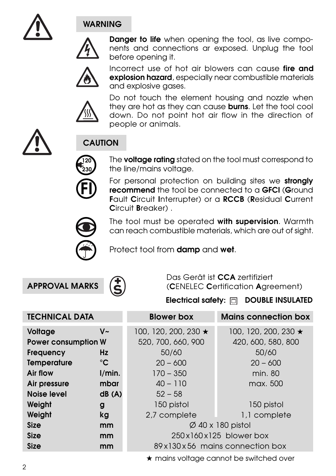

### **WARNING**



**Danger to life** when opening the tool, as live components and connections ar exposed. Unplug the tool before opening it.



Incorrect use of hot air blowers can cause **fire and explosion hazard**, especially near combustible materials and explosive gases.



Do not touch the element housing and nozzle when they are hot as they can cause **burns**. Let the tool cool down. Do not point hot air flow in the direction of people or animals.



# **CAUTION**

The **voltage rating** stated on the tool must correspond to the line/mains voltage.

For personal protection on building sites we **strongly recommend** the tool be connected to a **GFCI** (**G**round **F**ault **C**ircuit **I**nterrupter) or a **RCCB** (**R**esidual **C**urrent **C**ircuit **B**reaker) .



**FI**

**120 230**

> The tool must be operated **with supervision**. Warmth can reach combustible materials, which are out of sight.

Protect tool from **damp** and **wet**.

**APPROVAL MARKS**



Das Gerät ist **CCA** zertifiziert (**C**ENELEC **C**ertification **A**greement)

Electrical safety: **national DOUBLE INSULATED** 

| <b>TECHNICAL DATA</b>      |              | <b>Blower box</b>              | <b>Mains connection box</b> |
|----------------------------|--------------|--------------------------------|-----------------------------|
| Voltage                    | $V -$        | 100, 120, 200, 230 $\star$     | 100, 120, 200, 230 ★        |
| <b>Power consumption W</b> |              | 520, 700, 660, 900             | 420, 600, 580, 800          |
| <b>Frequency</b>           | Hz           | 50/60                          | 50/60                       |
| <b>Temperature</b>         | $^{\circ}$ C | $20 - 600$                     | $20 - 600$                  |
| Air flow                   | 1/min.       | $170 - 350$                    | min. 80                     |
| Air pressure               | mbar         | $40 - 110$                     | max. 500                    |
| Noise level                | dB(A)        | $52 - 58$                      |                             |
| Weight                     | g            | 150 pistol                     | 150 pistol                  |
| Weight                     | kg           | 2,7 complete                   | 1,1 complete                |
| <b>Size</b>                | mm           | $\varnothing$ 40 x 180 pistol  |                             |
| <b>Size</b>                | mm           | 250x160x125 blower box         |                             |
| <b>Size</b>                | mm           | 89x130x56 mains connection box |                             |

★ mains voltage cannot be switched over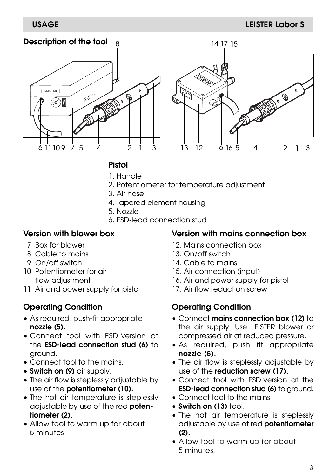#### **Description of the tool**





#### **Pistol**

- 1. Handle
- 2. Potentiometer for temperature adjustment
- 3. Air hose
- 4. Tapered element housing
- 5. Nozzle
- 6. ESD-lead connection stud

#### **Version with blower box**

- 7. Box for blower
- 8. Cable to mains
- 9. On/off switch
- 10. Potentiometer for air flow adjustment
- 11. Air and power supply for pistol

#### **Operating Condition**

- As required, push-fit appropriate **nozzle (5).**
- Connect tool with ESD-Version at the **ESD-lead connection stud (6)** to ground.
- Connect tool to the mains.
- **Switch on (9)** air supply.
- The air flow is steplessly adjustable by use of the **potentiometer (10).**
- The hot air temperature is steplessly adjustable by use of the red **potentiometer (2).**
- Allow tool to warm up for about 5 minutes

#### **Version with mains connection box**

- 12. Mains connection box
- 13. On/off switch
- 14. Cable to mains
- 15. Air connection (input)
- 16. Air and power supply for pistol
- 17. Air flow reduction screw

#### **Operating Condition**

- Connect **mains connection box (12)** to the air supply. Use LEISTER blower or compressed air at reduced pressure.
- As required, push fit appropriate **nozzle (5).**
- The air flow is steplessly adjustable by use of the **reduction screw (17).**
- Connect tool with ESD-version at the **ESD-lead connection stud (6)** to ground.
- Connect tool to the mains.
- **Switch on (13)** tool.
- The hot air temperature is steplessly adjustable by use of red **potentiometer (2).**
- Allow tool to warm up for about 5 minutes.